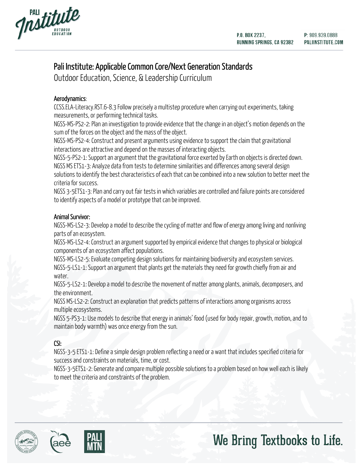



### Pali Institute: Applicable Common Core/Next Generation Standards

Outdoor Education, Science, & Leadership Curriculum

### Aerodynamics:

CCSS.ELA-Literacy.RST.6-8.3 Follow precisely a multistep procedure when carrying out experiments, taking measurements, or performing technical tasks.

NGSS-MS-PS2-2: Plan an investigation to provide evidence that the change in an object's motion depends on the sum of the forces on the object and the mass of the object.

NGSS-MS-PS2-4: Construct and present arguments using evidence to support the claim that gravitational interactions are attractive and depend on the masses of interacting objects.

NGSS-5-PS2-1: Support an argument that the gravitational force exerted by Earth on objects is directed down. NGSS MS ETS1-3: Analyze data from tests to determine similarities and differences among several design solutions to identify the best characteristics of each that can be combined into a new solution to better meet the criteria for success.

NGSS 3-5ETS1-3: Plan and carry out fair tests in which variables are controlled and failure points are considered to identify aspects of a model or prototype that can be improved.

### Animal Survivor:

NGSS-MS-LS2-3: Develop a model to describe the cycling of matter and flow of energy among living and nonliving parts of an ecosystem.

NGSS-MS-LS2-4: Construct an argument supported by empirical evidence that changes to physical or biological components of an ecosystem affect populations.

NGSS-MS-LS2-5: Evaluate competing design solutions for maintaining biodiversity and ecosystem services. NGSS-5-LS1-1: Support an argument that plants get the materials they need for growth chiefly from air and water.

NGSS-5-LS2-1: Develop a model to describe the movement of matter among plants, animals, decomposers, and the environment.

NGSS MS-LS2-2: Construct an explanation that predicts patterns of interactions among organisms across multiple ecosystems.

NGSS 5-PS3-1: Use models to describe that energy in animals' food (used for body repair, growth, motion, and to maintain body warmth) was once energy from the sun.

### CSI:

NGSS-3-5 ETS1-1: Define a simple design problem reflecting a need or a want that includes specified criteria for success and constraints on materials, time, or cost.

NGSS-3-5ETS1-2: Generate and compare multiple possible solutions to a problem based on how well each is likely to meet the criteria and constraints of the problem.



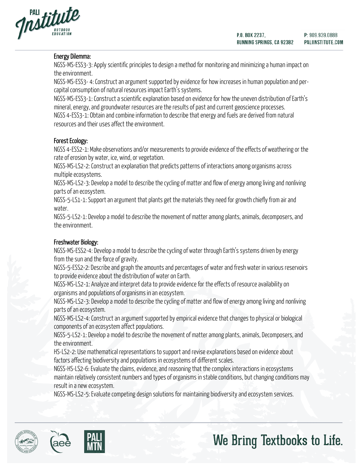

### Energy Dilemma:

NGSS-MS-ESS3-3: Apply scientific principles to design a method for monitoring and minimizing a human impact on the environment.

NGSS-MS-ESS3- 4: Construct an argument supported by evidence for how increases in human population and percapital consumption of natural resources impact Earth's systems.

NGSS-MS-ESS3-1: Construct a scientific explanation based on evidence for how the uneven distribution of Earth's mineral, energy, and groundwater resources are the results of past and current geoscience processes. NGSS 4-ESS3-1: Obtain and combine information to describe that energy and fuels are derived from natural resources and their uses affect the environment.

### Forest Ecology:

NGSS 4-ESS2-1: Make observations and/or measurements to provide evidence of the effects of weathering or the rate of erosion by water, ice, wind, or vegetation.

NGSS-MS-LS2-2: Construct an explanation that predicts patterns of interactions among organisms across multiple ecosystems.

NGSS-MS-LS2-3: Develop a model to describe the cycling of matter and flow of energy among living and nonliving parts of an ecosystem.

NGSS-5-LS1-1: Support an argument that plants get the materials they need for growth chiefly from air and water.

NGSS-5-LS2-1: Develop a model to describe the movement of matter among plants, animals, decomposers, and the environment.

### Freshwater Biology:

NGSS-MS-ESS2-4: Develop a model to describe the cycling of water through Earth's systems driven by energy from the sun and the force of gravity.

NGSS-5-ESS2-2: Describe and graph the amounts and percentages of water and fresh water in various reservoirs to provide evidence about the distribution of water on Earth.

NGSS-MS-LS2-1: Analyze and interpret data to provide evidence for the effects of resource availability on organisms and populations of organismsin an ecosystem.

NGSS-MS-LS2-3: Develop a model to describe the cycling of matter and flow of energy among living and nonliving parts of an ecosystem.

NGSS-MS-LS2-4: Construct an argument supported by empirical evidence that changes to physical or biological components of an ecosystem affect populations.

NGSS-5-LS2-1: Develop a model to describe the movement of matter among plants, animals, Decomposers, and the environment.

HS-LS2-2: Use mathematical representations to support and revise explanations based on evidence about factors affecting biodiversity and populations in ecosystems of different scales.

NGSS-HS-LS2-6: Evaluate the claims, evidence, and reasoning that the complex interactions in ecosystems maintain relatively consistent numbers and types of organisms in stable conditions, but changing conditions may result in a new ecosystem.

NGSS-MS-LS2-5: Evaluate competing design solutions for maintaining biodiversity and ecosystem services.



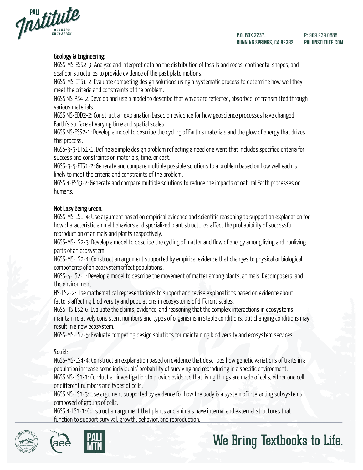



### Geology & Engineering:

NGSS-MS-ESS2-3: Analyze and interpret data on the distribution of fossils and rocks, continental shapes, and seafloor structures to provide evidence of the past plate motions.

NGSS-MS-ETS1-2: Evaluate competing design solutions using a systematic process to determine how well they meet the criteria and constraints of the problem.

NGSS MS-PS4-2: Develop and use a model to describe that waves are reflected, absorbed, or transmitted through various materials.

NGSS MS-EDD2-2: Construct an explanation based on evidence for how geoscience processes have changed Earth's surface at varying time and spatial scales.

NGSS MS-ESS2-1: Develop a model to describe the cycling of Earth's materials and the glow of energy that drives this process.

NGSS-3-5-ETS1-1: Define a simple design problem reflecting a need or a want that includes specified criteria for success and constraints on materials, time, or cost.

NGSS-3-5-ETS1-2: Generate and compare multiple possible solutions to a problem based on how well each is likely to meet the criteria and constraints of the problem.

NGSS 4-ESS3-2: Generate and compare multiple solutions to reduce the impacts of natural Earth processes on humans.

### Not Easy Being Green:

NGSS-MS-LS1-4: Use argument based on empirical evidence and scientific reasoning to support an explanation for how characteristic animal behaviors and specialized plant structures affect the probabibility of successful reproduction of animals and plants respectively.

NGSS-MS-LS2-3: Develop a model to describe the cycling of matter and flow of energy among living and nonliving parts of an ecosystem.

NGSS-MS-LS2-4: Construct an argument supported by empirical evidence that changes to physical or biological components of an ecosystem affect populations.

NGSS-5-LS2-1: Develop a model to describe the movement of matter among plants, animals, Decomposers, and the environment.

HS-LS2-2: Use mathematical representations to support and revise explanations based on evidence about factors affecting biodiversity and populations in ecosystems of different scales.

NGSS-HS-LS2-6: Evaluate the claims, evidence, and reasoning that the complex interactions in ecosystems maintain relatively consistent numbers and types of organisms in stable conditions, but changing conditions may result in a new ecosystem.

NGSS-MS-LS2-5: Evaluate competing design solutions for maintaining biodiversity and ecosystem services.

### Squid:

NGSS-MS-LS4-4: Construct an explanation based on evidence that describes how genetic variations of traits in a population increase some individuals' probability of surviving and reproducing in a specific environment. NGSS MS-LS1-1: Conduct an investigation to provide evidence that living things are made of cells, either one cell or different numbers and types of cells.

NGSS MS-LS1-3: Use argument supported by evidence for how the body is a system of interacting subsystems composed of groups of cells.

NGSS 4-LS1-1: Construct an argument that plants and animals have internal and external structures that function to support survival, growth, behavior, and reproduction.



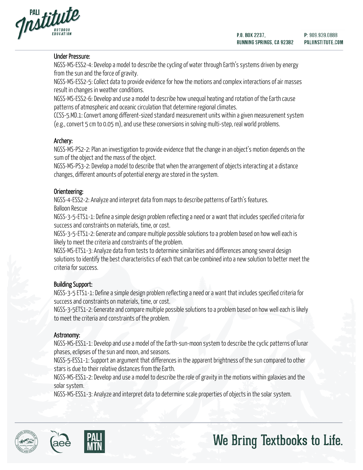



### Under Pressure:

NGSS-MS-ESS2-4: Develop a model to describe the cycling of water through Earth's systems driven by energy from the sun and the force of gravity.

NGSS-MS-ESS2-5: Collect data to provide evidence for how the motions and complex interactions of air masses result in changes in weather conditions.

NGSS-MS-ESS2-6: Develop and use a model to describe how unequal heating and rotation of the Earth cause patterns of atmospheric and oceanic circulation that determine regional climates.

CCSS-5.MD.1: Convert among different-sized standard measurement units within a given measurement system (e.g., convert 5 cm to 0.05 m), and use these conversions in solving multi-step, real world problems.

### Archery:

NGSS-MS-PS2-2: Plan an investigation to provide evidence that the change in an object's motion depends on the sum of the object and the mass of the object.

NGSS-MS-PS3-2: Develop a model to describe that when the arrangement of objects interacting at a distance changes, different amounts of potential energy are stored in the system.

### Orienteering:

NGSS-4-ESS2-2: Analyze and interpret data from maps to describe patterns of Earth's features.

Balloon Rescue

NGSS-3-5-ETS1-1: Define a simple design problem reflecting a need or a want that includes specified criteria for success and constraints on materials, time, or cost.

NGSS-3-5-ETS1-2: Generate and compare multiple possible solutions to a problem based on how well each is likely to meet the criteria and constraints of the problem.

NGSS-MS-ETS1-3: Analyze data from tests to determine similarities and differences among several design solutions to identify the best characteristics of each that can be combined into a new solution to better meet the criteria for success.

### Building Support:

NGSS-3-5 ETS1-1: Define a simple design problem reflecting a need or a want that includes specified criteria for success and constraints on materials, time, or cost.

NGSS-3-5ETS1-2: Generate and compare multiple possible solutions to a problem based on how well each is likely to meet the criteria and constraints of the problem.

### Astronomy:

 $\overline{a}$ 

NGSS-MS-ESS1-1: Develop and use a model of the Earth-sun-moon system to describe the cyclic patterns of lunar phases, eclipses of the sun and moon, and seasons.

NGSS-5-ESS1-1: Support an argument that differences in the apparent brightness of the sun compared to other stars is due to their relative distances from the Earth.

NGSS-MS-ESS1-2: Develop and use a model to describe the role of gravity in the motions within galaxies and the solar system.

NGSS-MS-ESS1-3: Analyze and interpret data to determine scale properties of objects in the solar system.